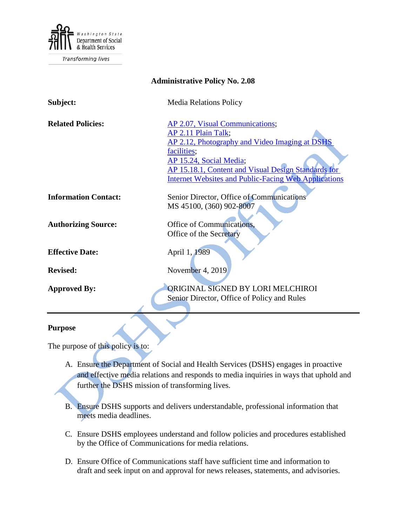

Transforming lives

| <b>Administrative Policy No. 2.08</b> |                                                                                                                                                                                                                                                                          |
|---------------------------------------|--------------------------------------------------------------------------------------------------------------------------------------------------------------------------------------------------------------------------------------------------------------------------|
| Subject:                              | <b>Media Relations Policy</b>                                                                                                                                                                                                                                            |
| <b>Related Policies:</b>              | AP 2.07, Visual Communications;<br>AP 2.11 Plain Talk;<br>AP 2.12, Photography and Video Imaging at DSHS<br>facilities;<br>AP 15.24, Social Media;<br>AP 15.18.1, Content and Visual Design Standards for<br><b>Internet Websites and Public-Facing Web Applications</b> |
| <b>Information Contact:</b>           | Senior Director, Office of Communications<br>MS 45100, (360) 902-8007                                                                                                                                                                                                    |
| <b>Authorizing Source:</b>            | Office of Communications,<br>Office of the Secretary                                                                                                                                                                                                                     |
| <b>Effective Date:</b>                | April 1, 1989                                                                                                                                                                                                                                                            |
| <b>Revised:</b>                       | November 4, 2019                                                                                                                                                                                                                                                         |
| <b>Approved By:</b>                   | ORIGINAL SIGNED BY LORI MELCHIROI<br>Senior Director, Office of Policy and Rules                                                                                                                                                                                         |

### **Purpose**

The purpose of this policy is to:

- A. Ensure the Department of Social and Health Services (DSHS) engages in proactive and effective media relations and responds to media inquiries in ways that uphold and further the DSHS mission of transforming lives.
- B. Ensure DSHS supports and delivers understandable, professional information that meets media deadlines.
- C. Ensure DSHS employees understand and follow policies and procedures established by the Office of Communications for media relations.
- D. Ensure Office of Communications staff have sufficient time and information to draft and seek input on and approval for news releases, statements, and advisories.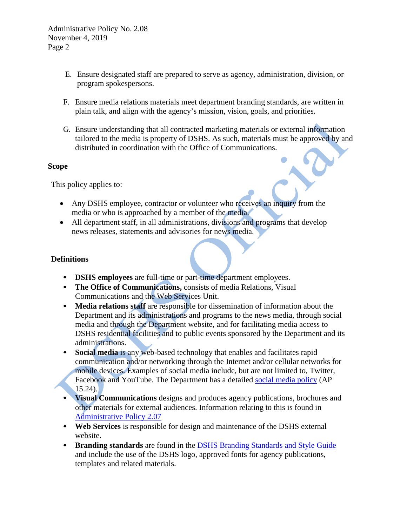Administrative Policy No. 2.08 November 4, 2019 Page 2

- E. Ensure designated staff are prepared to serve as agency, administration, division, or program spokespersons.
- F. Ensure media relations materials meet department branding standards, are written in plain talk, and align with the agency's mission, vision, goals, and priorities.
- G. Ensure understanding that all contracted marketing materials or external information tailored to the media is property of DSHS. As such, materials must be approved by and distributed in coordination with the Office of Communications.

### **Scope**

This policy applies to:

- Any DSHS employee, contractor or volunteer who receives an inquiry from the media or who is approached by a member of the media.
- All department staff, in all administrations, divisions and programs that develop news releases, statements and advisories for news media.

## **Definitions**

- **DSHS employees** are full-time or part-time department employees.
- **The Office of Communications, consists of media Relations, Visual** Communications and the Web Services Unit.
- **Media relations staff** are responsible for dissemination of information about the Department and its administrations and programs to the news media, through social media and through the Department website, and for facilitating media access to DSHS residential facilities and to public events sponsored by the Department and its administrations.
- **Social media** is any web-based technology that enables and facilitates rapid communication and/or networking through the Internet and/or cellular networks for mobile devices. Examples of social media include, but are not limited to, Twitter, Facebook and YouTube. The Department has a detailed [social media policy](http://one.dshs.wa.lcl/Policies/Administrative/DSHS-AP-15-24.pdf) (AP 15.24).
- **Visual Communications** designs and produces agency publications, brochures and other materials for external audiences. Information relating to this is found in [Administrative Policy 2.07](http://one.dshs.wa.lcl/Policies/Administrative/DSHS-AP-02-07.pdf)
- **Web Services** is responsible for design and maintenance of the DSHS external website.
- **Branding standards** are found in the [DSHS Branding Standards and Style Guide](http://one.dshs.wa.lcl/Communications/Resources/DSHS-Style-Guide.pdf) and include the use of the DSHS logo, approved fonts for agency publications, templates and related materials.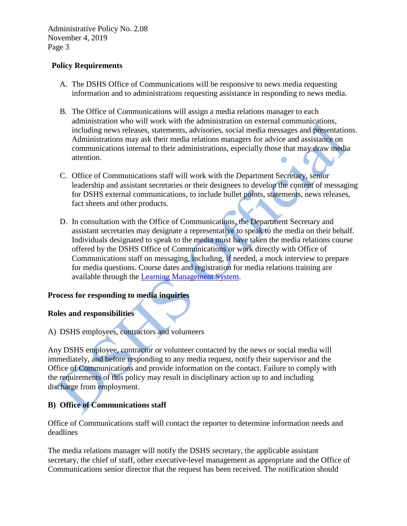# **Policy Requirements**

- A. The DSHS Office of Communications will be responsive to news media requesting information and to administrations requesting assistance in responding to news media.
- B. The Office of Communications will assign a media relations manager to each administration who will work with the administration on external communications, including news releases, statements, advisories, social media messages and presentations. Administrations may ask their media relations managers for advice and assistance on communications internal to their administrations, especially those that may draw media attention.
- C. Office of Communications staff will work with the Department Secretary, senior leadership and assistant secretaries or their designees to develop the content of messaging for DSHS external communications, to include bullet points, statements, news releases, fact sheets and other products.
- D. In consultation with the Office of Communications, the Department Secretary and assistant secretaries may designate a representative to speak to the media on their behalf. Individuals designated to speak to the media must have taken the media relations course offered by the DSHS Office of Communications or work directly with Office of Communications staff on messaging, including, if needed, a mock interview to prepare for media questions. Course dates and registration for media relations training are available through the [Learning Management System.](https://gm1.geolearning.com/geonext/wasdop/DisplayWidgetPage.geo?id=HzIsDdI%2f65XXrIJB%2f5EjJmQBL6XjK7pq1mAswWulaSyzy%2fUr3mx5qA%3d%3d&nav=DOP_MS_Home_NAV)

## **Process for responding to media inquiries**

### **Roles and responsibilities**

A) DSHS employees, contractors and volunteers

Any DSHS employee, contractor or volunteer contacted by the news or social media will immediately, and before responding to any media request, notify their supervisor and the Office of Communications and provide information on the contact. Failure to comply with the requirements of this policy may result in disciplinary action up to and including discharge from employment.

# **B) Office of Communications staff**

Office of Communications staff will contact the reporter to determine information needs and deadlines

The media relations manager will notify the DSHS secretary, the applicable assistant secretary, the chief of staff, other executive-level management as appropriate and the Office of Communications senior director that the request has been received. The notification should